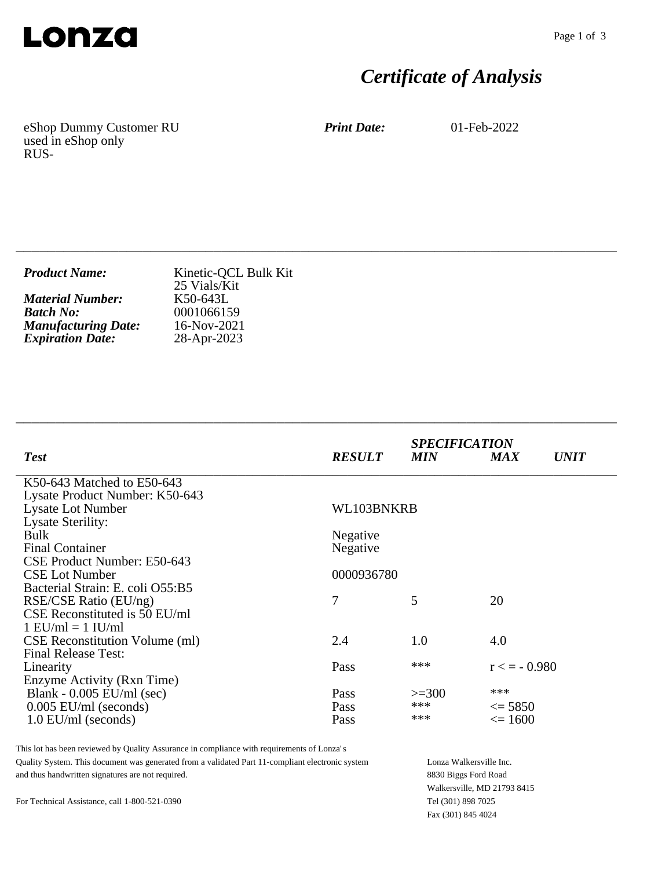

# *Certificate of Analysis*

eShop Dummy Customer RU used in eShop only RUS-

*Print Date:* 01-Feb-2022

| <b>Product Name:</b><br>25 Vials/Kit                                                                                                                         | Kinetic-QCL Bulk Kit |
|--------------------------------------------------------------------------------------------------------------------------------------------------------------|----------------------|
| <b>Material Number:</b><br>K50-643L<br><b>Batch No:</b><br>0001066159<br><b>Manufacturing Date:</b><br>16-Nov-2021<br><b>Expiration Date:</b><br>28-Apr-2023 |                      |

\_\_\_\_\_\_\_\_\_\_\_\_\_\_\_\_\_\_\_\_\_\_\_\_\_\_\_\_\_\_\_\_\_\_\_\_\_\_\_\_\_\_\_\_\_\_\_\_\_\_\_\_\_\_\_\_\_\_\_\_\_\_\_\_\_\_\_\_\_\_\_\_\_\_\_\_

\_\_\_\_\_\_\_\_\_\_\_\_\_\_\_\_\_\_\_\_\_\_\_\_\_\_\_\_\_\_\_\_\_\_\_\_\_\_\_\_\_\_\_\_\_\_\_\_\_\_\_\_\_\_\_\_\_\_\_\_\_\_\_\_\_\_\_\_\_\_\_\_\_\_\_\_

| <b>Test</b>                           | <b>RESULT</b> | <b>SPECIFICATION</b><br><b>MIN</b> | <b>MAX</b>        | <b>UNIT</b> |
|---------------------------------------|---------------|------------------------------------|-------------------|-------------|
| K50-643 Matched to E50-643            |               |                                    |                   |             |
| Lysate Product Number: K50-643        |               |                                    |                   |             |
| <b>Lysate Lot Number</b>              | WL103BNKRB    |                                    |                   |             |
| <b>Lysate Sterility:</b>              |               |                                    |                   |             |
| Bulk                                  | Negative      |                                    |                   |             |
| <b>Final Container</b>                | Negative      |                                    |                   |             |
| CSE Product Number: E50-643           |               |                                    |                   |             |
| <b>CSE Lot Number</b>                 | 0000936780    |                                    |                   |             |
| Bacterial Strain: E. coli O55:B5      |               |                                    |                   |             |
| RSE/CSE Ratio (EU/ng)                 | 7             | 5                                  | 20                |             |
| CSE Reconstituted is 50 EU/ml         |               |                                    |                   |             |
| $1$ EU/ml = $1$ IU/ml                 |               |                                    |                   |             |
| <b>CSE Reconstitution Volume (ml)</b> | 2.4           | 1.0                                | 4.0               |             |
| <b>Final Release Test:</b>            |               |                                    |                   |             |
| Linearity                             | Pass          | ***                                | $r \leq -0.980$   |             |
| Enzyme Activity (Rxn Time)            |               |                                    |                   |             |
| Blank - $0.005$ EU/ml (sec)           | Pass          | $>=300$                            | ***               |             |
| $0.005$ EU/ml (seconds)               | Pass          | ***                                | $\leq$ 5850       |             |
| $1.0$ EU/ml (seconds)                 | Pass          | ***                                | $\epsilon = 1600$ |             |

This lot has been reviewed by Quality Assurance in compliance with requirements of Lonza's Quality System. This document was generated from a validated Part 11-compliant electronic system and thus handwritten signatures are not required.

For Technical Assistance, call 1-800-521-0390

Lonza Walkersville Inc. 8830 Biggs Ford Road Walkersville, MD 21793 8415 Tel (301) 898 7025 Fax (301) 845 4024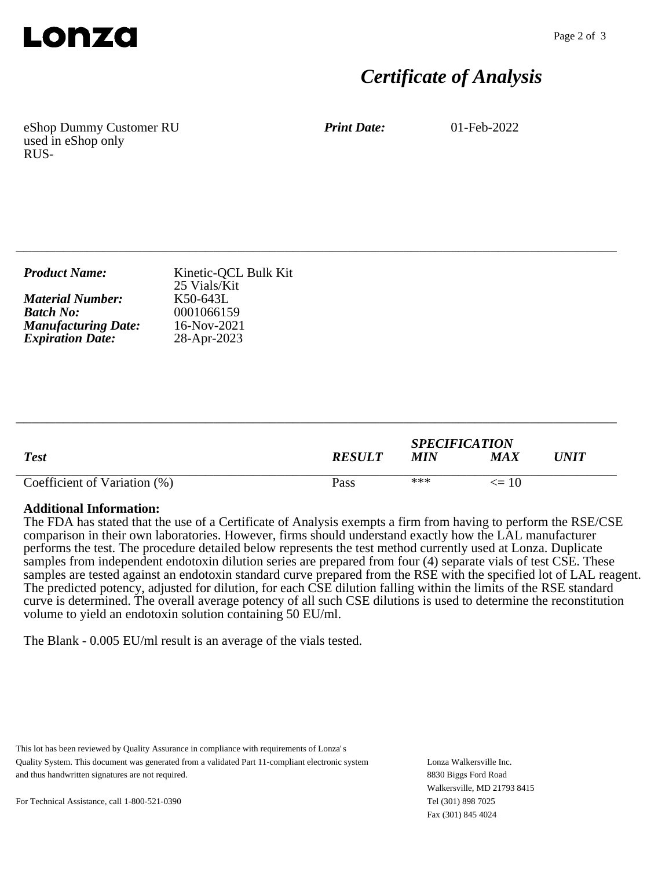

## *Certificate of Analysis*

eShop Dummy Customer RU used in eShop only RUS-

*Print Date:* 01-Feb-2022

| <b>Product Name:</b>       | Kinetic-QCL Bulk Kit<br>25 Vials/Kit |
|----------------------------|--------------------------------------|
| <b>Material Number:</b>    | K50-643L                             |
| <b>Batch No:</b>           | 0001066159                           |
| <b>Manufacturing Date:</b> | $16-Nov-2021$                        |
| <b>Expiration Date:</b>    | 28-Apr-2023                          |

\_\_\_\_\_\_\_\_\_\_\_\_\_\_\_\_\_\_\_\_\_\_\_\_\_\_\_\_\_\_\_\_\_\_\_\_\_\_\_\_\_\_\_\_\_\_\_\_\_\_\_\_\_\_\_\_\_\_\_\_\_\_\_\_\_\_\_\_\_\_\_\_\_\_\_\_

| <b>Test</b>                  | <b>RESULT</b> | <b>SPECIFICATION</b><br>MIN | MAX       | $\bm{UNIT}$ |
|------------------------------|---------------|-----------------------------|-----------|-------------|
| Coefficient of Variation (%) | Pass          | ***                         | $\leq$ 10 |             |

\_\_\_\_\_\_\_\_\_\_\_\_\_\_\_\_\_\_\_\_\_\_\_\_\_\_\_\_\_\_\_\_\_\_\_\_\_\_\_\_\_\_\_\_\_\_\_\_\_\_\_\_\_\_\_\_\_\_\_\_\_\_\_\_\_\_\_\_\_\_\_\_\_\_\_\_

#### **Additional Information:**

The FDA has stated that the use of a Certificate of Analysis exempts a firm from having to perform the RSE/CSE comparison in their own laboratories. However, firms should understand exactly how the LAL manufacturer performs the test. The procedure detailed below represents the test method currently used at Lonza. Duplicate samples from independent endotoxin dilution series are prepared from four (4) separate vials of test CSE. These samples are tested against an endotoxin standard curve prepared from the RSE with the specified lot of LAL reagent. The predicted potency, adjusted for dilution, for each CSE dilution falling within the limits of the RSE standard curve is determined. The overall average potency of all such CSE dilutions is used to determine the reconstitution volume to yield an endotoxin solution containing 50 EU/ml.

The Blank - 0.005 EU/ml result is an average of the vials tested.

This lot has been reviewed by Quality Assurance in compliance with requirements of Lonza's Quality System. This document was generated from a validated Part 11-compliant electronic system and thus handwritten signatures are not required.

Lonza Walkersville Inc. 8830 Biggs Ford Road Walkersville, MD 21793 8415 Tel (301) 898 7025 Fax (301) 845 4024

For Technical Assistance, call 1-800-521-0390